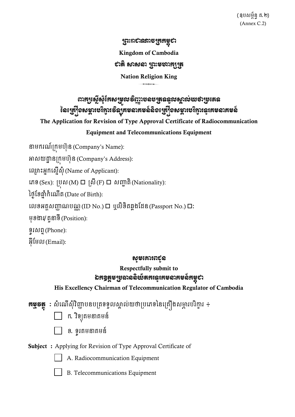ព្រះរាជាណាចព្ររម្ពុជា Kingdom of Cambodia សាតិ សាសនា ព្រះមហាក្សត្រ Nation Religion King

# ពារដ្យស្ដើសុំកែសម្រួលទិញ្ញាបឧបត្រូនឆ្នូលស្គាល់យថាប្រូតេន នៃច្រៀំទសម្ភារមរិក្ខារទឹនឝ្រមលឝមត៍តិទក្រៀំទសម្ភារមរិក្ខារលូឝេមលឝមត៍

The Application for Revision of Type Approval Certificate of Radiocommunication

#### Equipment and Telecommunications Equipment

នាម្ករណ៍ក្កុម្ហ ៊ុន្ (Company's Name):

អាសយដ្ឋា ន្ក្កុម្ហ ៊ុន្ (Company's Address):

ឈ្ម ោះអ្នកឈសនើស៊ុុំ(Name of Applicant):

ឈេទ (Sex): ក្បុស (M) ក្សី(F) សញ្ជា តិ(Nationality):

ថ្ងៃខែឆ្នាំកំណើត (Date of Birth):

លេខអត្តសញ្ញាណបណ្ណ $($ ID No. $)$   $\Box$  ឬលិខិតឆ្លងដែន $($ Passport No. $)$   $\Box$ :

ម្៊ុែងារ/តួនាទី(Position):

ទូរសព្ទ(Phone):

អ៊ីមែល $(Email)$ :

#### សូម្សោររជូប

### Respectfully submit to ឯកឧត្តមប្រឆាននិយ័តករនូវគមនាគមន៍គម្ពុជា

His Excellency Chairman of Telecommunication Regulator of Cambodia

**គម្លុទត្ថ** : សំណើសុំវិញ្ញាបនបត្រទទួលស្គាល់យថាប្រភេទនៃគ្រឿងសម្ភារបរិក្ខារ ÷

- $\Box$  ក. វិទ្យុគមនាគមន៍
- ែ. ទូរគម្នាគម្ន្៍
- Subject : Applying for Revision of Type Approval Certificate of



- A. Radiocommunication Equipment
- B. Telecommunications Equipment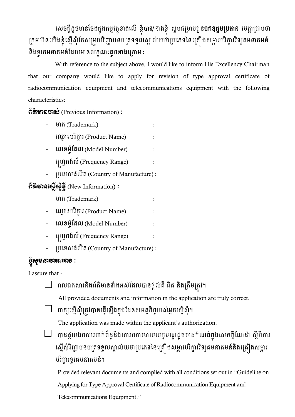លេចក្តីដូចមានចែងក្នុងកម្មវត្ថុខាងលើ ខ្ញុំបាទ/នាងខ្ញុំ សូមជម្រាបជូន**ឯកឧត្តមប្រធាន** មេត្តាជ្រាបថា ក្រុមហ៊ុនយើងខ្ញុំស្នើសុំកែសម្រួលវិញ្ញាបនបត្រទទួលស្គាល់យថាប្រភេទនៃគ្រឿងសម្ភារបរិក្ខារវិទ្យុគមនាគមន៍ និងទូរគមនាគមន៍ដែលមានលក្ខណៈដូចខាងក្រោម **:** 

With reference to the subject above, I would like to inform His Excellency Chairman that our company would like to apply for revision of type approval certificate of radiocommunication equipment and telecommunications equipment with the following characteristics:

<u>ព័ត៌មានចាស់</u> (Previous Information) :

- ម៉ាំពី (Trademark)
- ឈ្មោះបរិក្ខារ (Product Name)
- លេខម៉ូដែល (Model Number) :
- ឈ្ហេកង់ស៍(Frequency Range) :
- ក្បឈទសផេិត (Country of Manufacture) :

ព័ត៌មានស្ទើសុំថ្មី (New Information) :

- ម៉ាំពិ (Trademark) : :
- ឈ្មោះបរិក្ខារ (Product Name)
- លេខម៉ូដែល (Model Number)
- ប្រោ្វកង់ស៍ (Frequency Range)
- ក្បឈទសផេិត (Country of Manufacture) :

# ខ្ញុំសូមបាលអះអាខ :

I assure that :

រាល់ឯកសារនិងព័តិមានទាំងអស់ដែលបានផ្តល់គី ពិត និងត្រឹមត្រវ។

All provided documents and information in the application are truly correct.

 $\Box$  ពាក្យស្នើសុំត្រូវបានធ្វើឡើងក្នុងដែនសមត្ថកិច្ចរបស់អ្នកស្នើសុំ។

The application was made within the applicant's authorization.

 $\Box$  បានផ្តល់ឯកសារពាក់ព័ន្ធនិងគោរពតាមរាល់លក្ខខណ្ឌដូចមានកំណត់ក្នុងសេចក្តីណែនាំ ស្តីពីការ ស្នើសុំវិញ្ញាបនបត្រទទួលស្គាល់យថាប្រភេទនៃគ្រឿងសម្ភារបរិក្ខារវិទ្យុគមនាគមន៍និងគ្រឿងសម្ភារ បរិក្ខា រទូរគម្នាគម្ន្៍។

 Provided relevant documents and complied with all conditions set out in "Guideline on Applying for Type Approval Certificate of Radiocommunication Equipment and

Telecommunications Equipment."